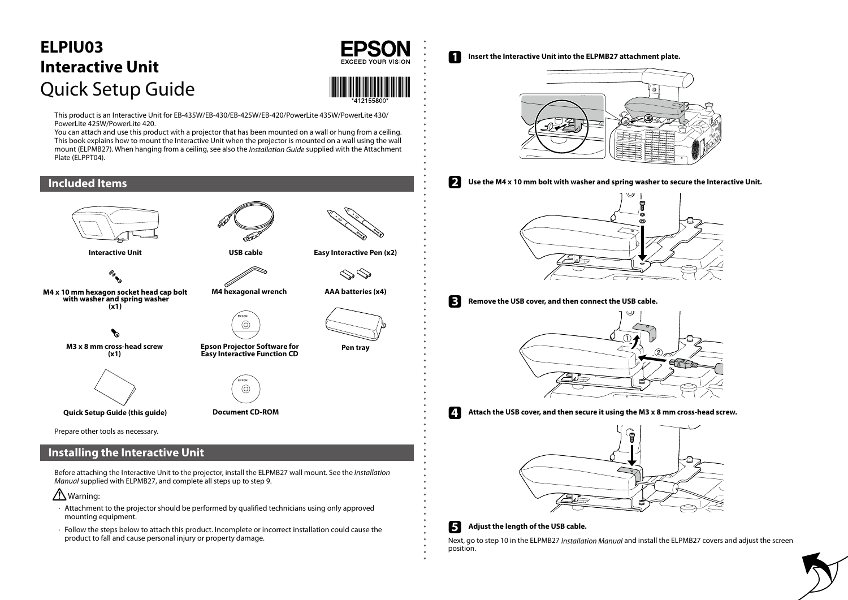# ELPIU03 **Interactive Unit** Quick Setup Guide



**1** Insert the Interactive Unit into the ELPMB27 attachment plate.



**Epson Projector Software for Easy Interactive Function CD tray Pen**



**M4** hexagonal wrench





**bolt cap head socket hexagon mm 10 x 4M washer spring and washer with**  $(x1)$ 



**M3**  $\times$  8 mm cross-head screw  $(x1)$ 







**ROM-CD Document) guide this (Guide Setup Quick**

Prepare other tools as necessary.

# **Installing the Interactive Unit**

Before attaching the Interactive Unit to the projector, install the ELPMB27 wall mount. See the *Installation* Manual supplied with ELPMB 27, and complete all steps up to step 9.



- $\cdot$  Attachment to the projector should be performed by qualified technicians using only approved mounting equipment.
- $\cdot$  Follow the steps below to attach this product. Incomplete or incorrect installation could cause the product to fall and cause personal injury or property damage.



**Easy Interactive Pen (x2)** 









**1** Attach the USB cover, and then secure it using the M3 x 8 mm cross-head screw.



### **F** Adjust the length of the USB cable.

Next, go to step 10 in the ELPMB27 Installation Manual and install the ELPMB27 covers and adjust the screen position.

This product is an Interactive Unit for EB-435W/EB-430/EB-425W/EB-420/PowerLite 435W/PowerLite 430/ PowerLite 425W/PowerLite 420.

You can attach and use this product with a projector that has been mounted on a wall or hung from a ceiling. This book explains how to mount the Interactive Unit when the projector is mounted on a wall using the wall mount (ELPMB27). When hanging from a ceiling, see also the *Installation Guide* supplied with the Attachment Plate (ELPPT04).

# **Included** Items



**Interactive Unit**